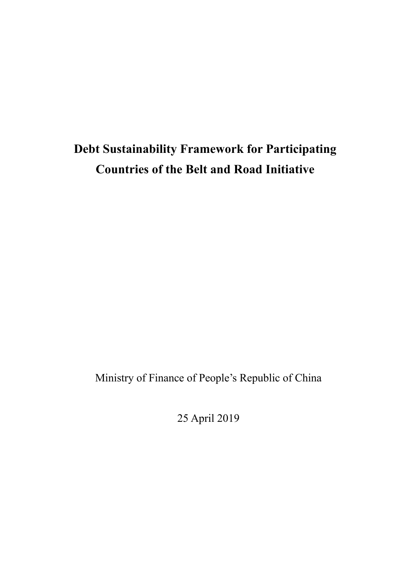# **Debt Sustainability Framework for Participating Countries of the Belt and Road Initiative**

Ministry of Finance of People's Republic of China

25 April 2019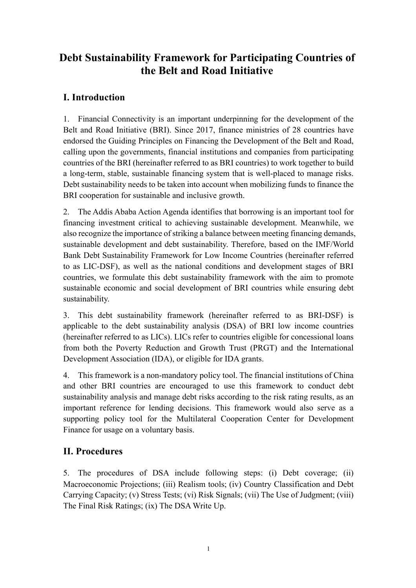# **Debt Sustainability Framework for Participating Countries of the Belt and Road Initiative**

# **I. Introduction**

1. Financial Connectivity is an important underpinning for the development of the Belt and Road Initiative (BRI). Since 2017, finance ministries of 28 countries have endorsed the Guiding Principles on Financing the Development of the Belt and Road, calling upon the governments, financial institutions and companies from participating countries of the BRI (hereinafter referred to as BRI countries) to work together to build a long-term, stable, sustainable financing system that is well-placed to manage risks. Debt sustainability needs to be taken into account when mobilizing funds to finance the BRI cooperation for sustainable and inclusive growth.

2. The Addis Ababa Action Agenda identifies that borrowing is an important tool for financing investment critical to achieving sustainable development. Meanwhile, we also recognize the importance of striking a balance between meeting financing demands, sustainable development and debt sustainability. Therefore, based on the IMF/World Bank Debt Sustainability Framework for Low Income Countries (hereinafter referred to as LIC-DSF), as well as the national conditions and development stages of BRI countries, we formulate this debt sustainability framework with the aim to promote sustainable economic and social development of BRI countries while ensuring debt sustainability.

3. This debt sustainability framework (hereinafter referred to as BRI-DSF) is applicable to the debt sustainability analysis (DSA) of BRI low income countries (hereinafter referred to as LICs). LICs refer to countries eligible for concessional loans from both the Poverty Reduction and Growth Trust (PRGT) and the International Development Association (IDA), or eligible for IDA grants.

4. This framework is a non-mandatory policy tool. The financial institutions of China and other BRI countries are encouraged to use this framework to conduct debt sustainability analysis and manage debt risks according to the risk rating results, as an important reference for lending decisions. This framework would also serve as a supporting policy tool for the Multilateral Cooperation Center for Development Finance for usage on a voluntary basis.

# **II. Procedures**

5. The procedures of DSA include following steps: (i) Debt coverage; (ii) Macroeconomic Projections; (iii) Realism tools; (iv) Country Classification and Debt Carrying Capacity; (v) Stress Tests; (vi) Risk Signals; (vii) The Use of Judgment; (viii) The Final Risk Ratings; (ix) The DSA Write Up.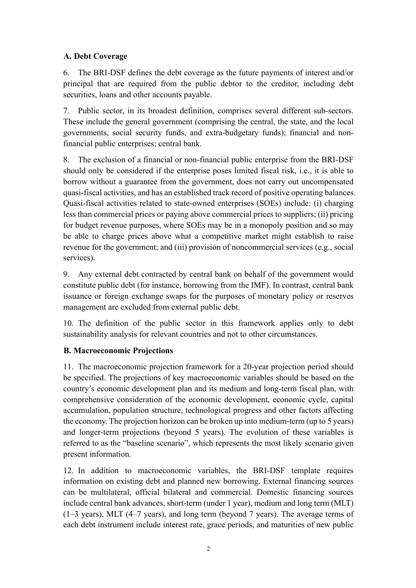## **A. Debt Coverage**

6. The BRI-DSF defines the debt coverage as the future payments of interest and/or principal that are required from the public debtor to the creditor, including debt securities, loans and other accounts payable.

7. Public sector, in its broadest definition, comprises several different sub-sectors. These include the general government (comprising the central, the state, and the local governments, social security funds, and extra-budgetary funds); financial and nonfinancial public enterprises; central bank.

8. The exclusion of a financial or non-financial public enterprise from the BRI-DSF should only be considered if the enterprise poses limited fiscal risk, i.e., it is able to borrow without a guarantee from the government, does not carry out uncompensated quasi-fiscal activities, and has an established track record of positive operating balances. Quasi-fiscal activities related to state-owned enterprises (SOEs) include: (i) charging less than commercial prices or paying above commercial prices to suppliers; (ii) pricing for budget revenue purposes, where SOEs may be in a monopoly position and so may be able to charge prices above what a competitive market might establish to raise revenue for the government; and (iii) provision of noncommercial services (e.g., social services).

9. Any external debt contracted by central bank on behalf of the government would constitute public debt (for instance, borrowing from the IMF). In contrast, central bank issuance or foreign exchange swaps for the purposes of monetary policy or reserves management are excluded from external public debt.

10. The definition of the public sector in this framework applies only to debt sustainability analysis for relevant countries and not to other circumstances.

## **B. Macroeconomic Projections**

11. The macroeconomic projection framework for a 20-year projection period should be specified. The projections of key macroeconomic variables should be based on the country's economic development plan and its medium and long-term fiscal plan, with comprehensive consideration of the economic development, economic cycle, capital accumulation, population structure, technological progress and other factors affecting the economy. The projection horizon can be broken up into medium-term (up to 5 years) and longer-term projections (beyond 5 years). The evolution of these variables is referred to as the "baseline scenario", which represents the most likely scenario given present information.

12. In addition to macroeconomic variables, the BRI-DSF template requires information on existing debt and planned new borrowing. External financing sources can be multilateral, official bilateral and commercial. Domestic financing sources include central bank advances, short-term (under 1 year), medium and long term (MLT) (1–3 years), MLT (4–7 years), and long term (beyond 7 years). The average terms of each debt instrument include interest rate, grace periods, and maturities of new public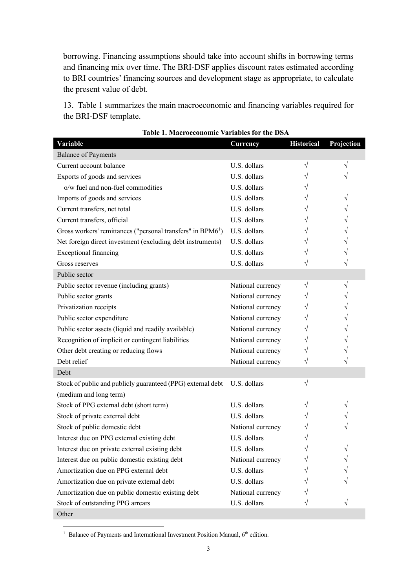borrowing. Financing assumptions should take into account shifts in borrowing terms and financing mix over time. The BRI-DSF applies discount rates estimated according to BRI countries' financing sources and development stage as appropriate, to calculate the present value of debt.

13. Table 1 summarizes the main macroeconomic and financing variables required for the BRI-DSF template.

| Variable                                                                | Currency          | <b>Historical</b> | Projection |
|-------------------------------------------------------------------------|-------------------|-------------------|------------|
| <b>Balance of Payments</b>                                              |                   |                   |            |
| Current account balance                                                 | U.S. dollars      | $\sqrt{}$         | V          |
| Exports of goods and services                                           | U.S. dollars      |                   |            |
| o/w fuel and non-fuel commodities                                       | U.S. dollars      |                   |            |
| Imports of goods and services                                           | U.S. dollars      |                   |            |
| Current transfers, net total                                            | U.S. dollars      |                   |            |
| Current transfers, official                                             | U.S. dollars      |                   |            |
| Gross workers' remittances ("personal transfers" in BPM6 <sup>1</sup> ) | U.S. dollars      |                   |            |
| Net foreign direct investment (excluding debt instruments)              | U.S. dollars      |                   |            |
| Exceptional financing                                                   | U.S. dollars      |                   |            |
| Gross reserves                                                          | U.S. dollars      |                   |            |
| Public sector                                                           |                   |                   |            |
| Public sector revenue (including grants)                                | National currency | $\sqrt{}$         |            |
| Public sector grants                                                    | National currency |                   |            |
| Privatization receipts                                                  | National currency |                   |            |
| Public sector expenditure                                               | National currency |                   |            |
| Public sector assets (liquid and readily available)                     | National currency | V                 |            |
| Recognition of implicit or contingent liabilities                       | National currency |                   |            |
| Other debt creating or reducing flows                                   | National currency | V                 |            |
| Debt relief                                                             | National currency | V                 |            |
| Debt                                                                    |                   |                   |            |
| Stock of public and publicly guaranteed (PPG) external debt             | U.S. dollars      | $\sqrt{}$         |            |
| (medium and long term)                                                  |                   |                   |            |
| Stock of PPG external debt (short term)                                 | U.S. dollars      |                   |            |
| Stock of private external debt                                          | U.S. dollars      |                   |            |
| Stock of public domestic debt                                           | National currency |                   |            |
| Interest due on PPG external existing debt                              | U.S. dollars      |                   |            |
| Interest due on private external existing debt                          | U.S. dollars      |                   |            |
| Interest due on public domestic existing debt                           | National currency |                   |            |
| Amortization due on PPG external debt                                   | U.S. dollars      |                   |            |
| Amortization due on private external debt                               | U.S. dollars      |                   |            |
| Amortization due on public domestic existing debt                       | National currency |                   |            |
| Stock of outstanding PPG arrears                                        | U.S. dollars      |                   |            |
| Other                                                                   |                   |                   |            |

| <b>Table 1. Macroeconomic Variables for the DSA</b> |  |  |  |
|-----------------------------------------------------|--|--|--|
|-----------------------------------------------------|--|--|--|

<sup>1</sup> Balance of Payments and International Investment Position Manual, 6<sup>th</sup> edition.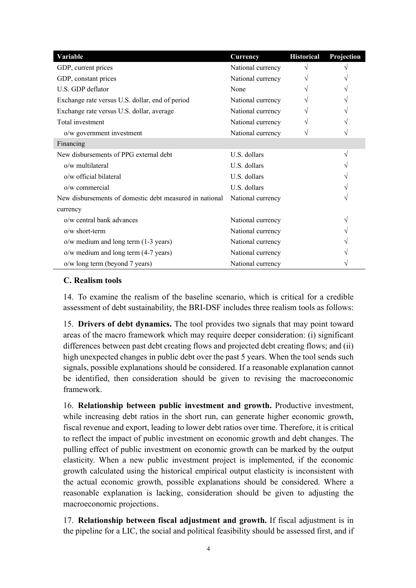| Variable                                                | Currency          | <b>Historical</b> | Projection |
|---------------------------------------------------------|-------------------|-------------------|------------|
| GDP, current prices                                     | National currency |                   |            |
| GDP, constant prices                                    | National currency |                   |            |
| U.S. GDP deflator                                       | None              |                   |            |
| Exchange rate versus U.S. dollar, end of period         | National currency |                   |            |
| Exchange rate versus U.S. dollar, average               | National currency |                   |            |
| Total investment                                        | National currency |                   |            |
| o/w government investment                               | National currency |                   |            |
| Financing                                               |                   |                   |            |
| New disbursements of PPG external debt                  | U.S. dollars      |                   |            |
| o/w multilateral                                        | U.S. dollars      |                   |            |
| o/w official bilateral                                  | U.S. dollars      |                   |            |
| $o/w$ commercial                                        | U.S. dollars      |                   |            |
| New disbursements of domestic debt measured in national | National currency |                   |            |
| currency                                                |                   |                   |            |
| o/w central bank advances                               | National currency |                   |            |
| $o/w$ short-term                                        | National currency |                   |            |
| o/w medium and long term (1-3 years)                    | National currency |                   |            |
| o/w medium and long term (4-7 years)                    | National currency |                   |            |
| o/w long term (beyond 7 years)                          | National currency |                   |            |

#### **C. Realism tools**

14. To examine the realism of the baseline scenario, which is critical for a credible assessment of debt sustainability, the BRI-DSF includes three realism tools as follows:

15. **Drivers of debt dynamics.** The tool provides two signals that may point toward areas of the macro framework which may require deeper consideration: (i) significant differences between past debt creating flows and projected debt creating flows; and (ii) high unexpected changes in public debt over the past 5 years. When the tool sends such signals, possible explanations should be considered. If a reasonable explanation cannot be identified, then consideration should be given to revising the macroeconomic framework.

16. **Relationship between public investment and growth.** Productive investment, while increasing debt ratios in the short run, can generate higher economic growth, fiscal revenue and export, leading to lower debt ratios over time. Therefore, it is critical to reflect the impact of public investment on economic growth and debt changes. The pulling effect of public investment on economic growth can be marked by the output elasticity. When a new public investment project is implemented, if the economic growth calculated using the historical empirical output elasticity is inconsistent with the actual economic growth, possible explanations should be considered. Where a reasonable explanation is lacking, consideration should be given to adjusting the macroeconomic projections.

17. **Relationship between fiscal adjustment and growth.** If fiscal adjustment is in the pipeline for a LIC, the social and political feasibility should be assessed first, and if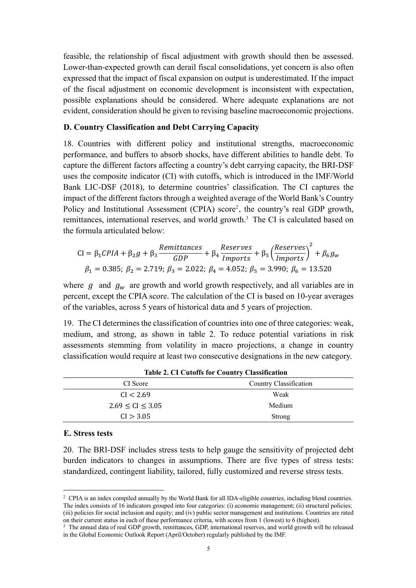feasible, the relationship of fiscal adjustment with growth should then be assessed. Lower-than-expected growth can derail fiscal consolidations, yet concern is also often expressed that the impact of fiscal expansion on output is underestimated. If the impact of the fiscal adjustment on economic development is inconsistent with expectation, possible explanations should be considered. Where adequate explanations are not evident, consideration should be given to revising baseline macroeconomic projections.

#### **D. Country Classification and Debt Carrying Capacity**

18. Countries with different policy and institutional strengths, macroeconomic performance, and buffers to absorb shocks, have different abilities to handle debt. To capture the different factors affecting a country's debt carrying capacity, the BRI-DSF uses the composite indicator (CI) with cutoffs, which is introduced in the IMF/World Bank LIC-DSF (2018), to determine countries' classification. The CI captures the impact of the different factors through a weighted average of the World Bank's Country Policy and Institutional Assessment (CPIA) score<sup>2</sup>, the country's real GDP growth, remittances, international reserves, and world growth.<sup>3</sup> The CI is calculated based on the formula articulated below:

CI = 
$$
\beta_1 CPIA + \beta_2 g + \beta_3 \frac{Remittances}{GDP} + \beta_4 \frac{Reserves}{Imports} + \beta_5 (\frac{Reserves}{Imports})^2 + \beta_6 g_w
$$
  
\n $\beta_1 = 0.385; \beta_2 = 2.719; \beta_3 = 2.022; \beta_4 = 4.052; \beta_5 = 3.990; \beta_6 = 13.520$ 

where  $g$  and  $g_w$  are growth and world growth respectively, and all variables are in percent, except the CPIA score. The calculation of the CI is based on 10-year averages of the variables, across 5 years of historical data and 5 years of projection.

19. The CI determines the classification of countries into one of three categories: weak, medium, and strong, as shown in table 2. To reduce potential variations in risk assessments stemming from volatility in macro projections, a change in country classification would require at least two consecutive designations in the new category.

| CI Score                 | Country Classification |
|--------------------------|------------------------|
| CI < 2.69                | Weak                   |
| $2.69 \leq C1 \leq 3.05$ | Medium                 |
| CI > 3.05                | <b>Strong</b>          |
|                          |                        |

**Table 2. CI Cutoffs for Country Classification**

#### **E. Stress tests**

 $\overline{a}$ 

20. The BRI-DSF includes stress tests to help gauge the sensitivity of projected debt burden indicators to changes in assumptions. There are five types of stress tests: standardized, contingent liability, tailored, fully customized and reverse stress tests.

<sup>&</sup>lt;sup>2</sup> CPIA is an index compiled annually by the World Bank for all IDA-eligible countries, including blend countries. The index consists of 16 indicators grouped into four categories: (i) economic management; (ii) structural policies; (iii) policies for social inclusion and equity; and (iv) public sector management and institutions. Countries are rated on their current status in each of these performance criteria, with scores from 1 (lowest) to 6 (highest).

<sup>&</sup>lt;sup>3</sup> The annual data of real GDP growth, remittances, GDP, international reserves, and world growth will be released in the Global Economic Outlook Report (April/October) regularly published by the IMF.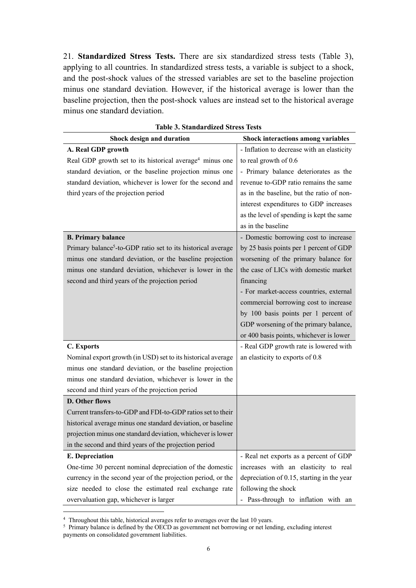21. **Standardized Stress Tests.** There are six standardized stress tests (Table 3), applying to all countries. In standardized stress tests, a variable is subject to a shock, and the post-shock values of the stressed variables are set to the baseline projection minus one standard deviation. However, if the historical average is lower than the baseline projection, then the post-shock values are instead set to the historical average minus one standard deviation.

| radie 9. Stanuai uizeu stress-rests                                      |                                            |  |  |
|--------------------------------------------------------------------------|--------------------------------------------|--|--|
| Shock design and duration                                                | <b>Shock interactions among variables</b>  |  |  |
| A. Real GDP growth                                                       | - Inflation to decrease with an elasticity |  |  |
| Real GDP growth set to its historical average <sup>4</sup> minus one     | to real growth of 0.6                      |  |  |
| standard deviation, or the baseline projection minus one                 | - Primary balance deteriorates as the      |  |  |
| standard deviation, whichever is lower for the second and                | revenue to-GDP ratio remains the same      |  |  |
| third years of the projection period                                     | as in the baseline, but the ratio of non-  |  |  |
|                                                                          | interest expenditures to GDP increases     |  |  |
|                                                                          | as the level of spending is kept the same  |  |  |
|                                                                          | as in the baseline                         |  |  |
| <b>B. Primary balance</b>                                                | - Domestic borrowing cost to increase      |  |  |
| Primary balance <sup>5</sup> -to-GDP ratio set to its historical average | by 25 basis points per 1 percent of GDP    |  |  |
| minus one standard deviation, or the baseline projection                 | worsening of the primary balance for       |  |  |
| minus one standard deviation, whichever is lower in the                  | the case of LICs with domestic market      |  |  |
| second and third years of the projection period                          | financing                                  |  |  |
|                                                                          | - For market-access countries, external    |  |  |
|                                                                          | commercial borrowing cost to increase      |  |  |
|                                                                          | by 100 basis points per 1 percent of       |  |  |
|                                                                          | GDP worsening of the primary balance,      |  |  |
|                                                                          | or 400 basis points, whichever is lower    |  |  |
| C. Exports                                                               | - Real GDP growth rate is lowered with     |  |  |
| Nominal export growth (in USD) set to its historical average             | an elasticity to exports of 0.8            |  |  |
| minus one standard deviation, or the baseline projection                 |                                            |  |  |
| minus one standard deviation, whichever is lower in the                  |                                            |  |  |
| second and third years of the projection period                          |                                            |  |  |
| D. Other flows                                                           |                                            |  |  |
| Current transfers-to-GDP and FDI-to-GDP ratios set to their              |                                            |  |  |
| historical average minus one standard deviation, or baseline             |                                            |  |  |
| projection minus one standard deviation, whichever is lower              |                                            |  |  |
| in the second and third years of the projection period                   |                                            |  |  |
| <b>E.</b> Depreciation                                                   | - Real net exports as a percent of GDP     |  |  |
| One-time 30 percent nominal depreciation of the domestic                 | increases with an elasticity to real       |  |  |
| currency in the second year of the projection period, or the             | depreciation of 0.15, starting in the year |  |  |
| size needed to close the estimated real exchange rate                    | following the shock                        |  |  |
| overvaluation gap, whichever is larger                                   | - Pass-through to inflation with an        |  |  |

|  | <b>Table 3. Standardized Stress Tests</b> |  |  |
|--|-------------------------------------------|--|--|
|--|-------------------------------------------|--|--|

<sup>4</sup> Throughout this table, historical averages refer to averages over the last 10 years.

<sup>&</sup>lt;sup>5</sup> Primary balance is defined by the OECD as government net borrowing or net lending, excluding interest payments on consolidated government liabilities.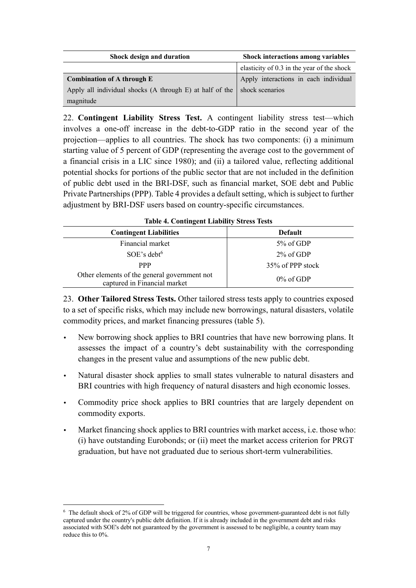| Shock design and duration                                                        | <b>Shock interactions among variables</b>  |  |
|----------------------------------------------------------------------------------|--------------------------------------------|--|
|                                                                                  | elasticity of 0.3 in the year of the shock |  |
| <b>Combination of A through E</b>                                                | Apply interactions in each individual      |  |
| Apply all individual shocks (A through E) at half of the $\vert$ shock scenarios |                                            |  |
| magnitude                                                                        |                                            |  |

22. **Contingent Liability Stress Test.** A contingent liability stress test—which involves a one-off increase in the debt-to-GDP ratio in the second year of the projection—applies to all countries. The shock has two components: (i) a minimum starting value of 5 percent of GDP (representing the average cost to the government of a financial crisis in a LIC since 1980); and (ii) a tailored value, reflecting additional potential shocks for portions of the public sector that are not included in the definition of public debt used in the BRI-DSF, such as financial market, SOE debt and Public Private Partnerships (PPP). Table 4 provides a default setting, which is subject to further adjustment by BRI-DSF users based on country-specific circumstances.

| Table 7. Contingent Liability Butess Tests                                   |                  |  |  |
|------------------------------------------------------------------------------|------------------|--|--|
| <b>Contingent Liabilities</b>                                                | <b>Default</b>   |  |  |
| Financial market                                                             | 5% of GDP        |  |  |
| $SOE$ 's debt <sup>6</sup>                                                   | $2\%$ of GDP     |  |  |
| <b>PPP</b>                                                                   | 35% of PPP stock |  |  |
| Other elements of the general government not<br>captured in Financial market | $0\%$ of GDP     |  |  |

**Table 4. Contingent Liability Stress Tests**

23. **Other Tailored Stress Tests.** Other tailored stress tests apply to countries exposed to a set of specific risks, which may include new borrowings, natural disasters, volatile commodity prices, and market financing pressures (table 5).

- New borrowing shock applies to BRI countries that have new borrowing plans. It assesses the impact of a country's debt sustainability with the corresponding changes in the present value and assumptions of the new public debt.
- Natural disaster shock applies to small states vulnerable to natural disasters and BRI countries with high frequency of natural disasters and high economic losses.
- Commodity price shock applies to BRI countries that are largely dependent on commodity exports.
- Market financing shock applies to BRI countries with market access, i.e. those who: (i) have outstanding Eurobonds; or (ii) meet the market access criterion for PRGT graduation, but have not graduated due to serious short-term vulnerabilities.

 $6$  The default shock of 2% of GDP will be triggered for countries, whose government-guaranteed debt is not fully captured under the country's public debt definition. If it is already included in the government debt and risks associated with SOE's debt not guaranteed by the government is assessed to be negligible, a country team may reduce this to 0%.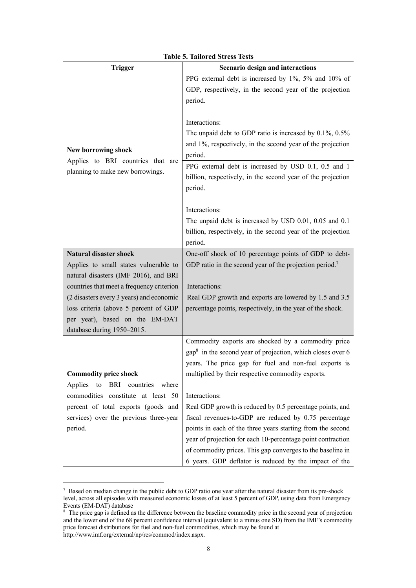| <b>Trigger</b>                                                                                                                                                                                                                                                                   | Scenario design and interactions                                                                                                                                                                                                                                                                                                                                                                                                                                                                                                                                             |  |
|----------------------------------------------------------------------------------------------------------------------------------------------------------------------------------------------------------------------------------------------------------------------------------|------------------------------------------------------------------------------------------------------------------------------------------------------------------------------------------------------------------------------------------------------------------------------------------------------------------------------------------------------------------------------------------------------------------------------------------------------------------------------------------------------------------------------------------------------------------------------|--|
| New borrowing shock<br>Applies to BRI countries that are<br>planning to make new borrowings.                                                                                                                                                                                     | PPG external debt is increased by 1%, 5% and 10% of<br>GDP, respectively, in the second year of the projection<br>period.<br>Interactions:<br>The unpaid debt to GDP ratio is increased by $0.1\%$ , $0.5\%$<br>and 1%, respectively, in the second year of the projection<br>period.<br>PPG external debt is increased by USD 0.1, 0.5 and 1<br>billion, respectively, in the second year of the projection<br>period.<br>Interactions:<br>The unpaid debt is increased by USD 0.01, 0.05 and 0.1<br>billion, respectively, in the second year of the projection<br>period. |  |
| <b>Natural disaster shock</b>                                                                                                                                                                                                                                                    | One-off shock of 10 percentage points of GDP to debt-                                                                                                                                                                                                                                                                                                                                                                                                                                                                                                                        |  |
| Applies to small states vulnerable to<br>natural disasters (IMF 2016), and BRI<br>countries that meet a frequency criterion<br>(2 disasters every 3 years) and economic<br>loss criteria (above 5 percent of GDP<br>per year), based on the EM-DAT<br>database during 1950-2015. | GDP ratio in the second year of the projection period. <sup>7</sup><br>Interactions:<br>Real GDP growth and exports are lowered by 1.5 and 3.5<br>percentage points, respectively, in the year of the shock.                                                                                                                                                                                                                                                                                                                                                                 |  |
| <b>Commodity price shock</b><br>Applies<br>BRI countries<br>to<br>where<br>commodities constitute at least 50<br>percent of total exports (goods and                                                                                                                             | Commodity exports are shocked by a commodity price<br>$\text{gap}^8$ in the second year of projection, which closes over 6<br>years. The price gap for fuel and non-fuel exports is<br>multiplied by their respective commodity exports.<br>Interactions:<br>Real GDP growth is reduced by 0.5 percentage points, and                                                                                                                                                                                                                                                        |  |
| services) over the previous three-year<br>period.                                                                                                                                                                                                                                | fiscal revenues-to-GDP are reduced by 0.75 percentage<br>points in each of the three years starting from the second<br>year of projection for each 10-percentage point contraction<br>of commodity prices. This gap converges to the baseline in<br>6 years. GDP deflator is reduced by the impact of the                                                                                                                                                                                                                                                                    |  |

<sup>7</sup> Based on median change in the public debt to GDP ratio one year after the natural disaster from its pre-shock level, across all episodes with measured economic losses of at least 5 percent of GDP, using data from Emergency Events (EM-DAT) database

<sup>&</sup>lt;sup>8</sup> The price gap is defined as the difference between the baseline commodity price in the second year of projection and the lower end of the 68 percent confidence interval (equivalent to a minus one SD) from the IMF's commodity price forecast distributions for fuel and non-fuel commodities, which may be found at http://www.imf.org/external/np/res/commod/index.aspx.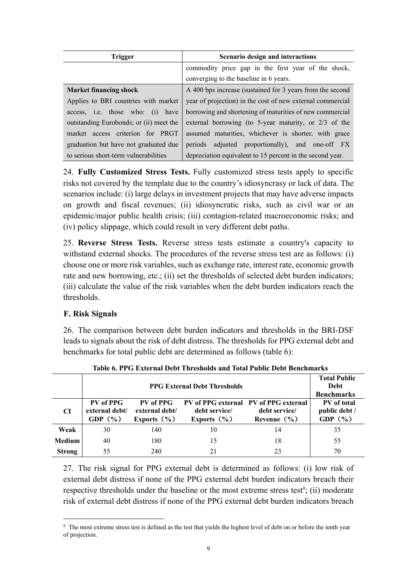| <b>Trigger</b>                          | Scenario design and interactions                           |
|-----------------------------------------|------------------------------------------------------------|
|                                         | commodity price gap in the first year of the shock,        |
|                                         | converging to the baseline in 6 years.                     |
| <b>Market financing shock</b>           | A 400 bps increase (sustained for 3 years from the second  |
| Applies to BRI countries with market    | year of projection) in the cost of new external commercial |
| access, i.e. those who: (i) have        | borrowing and shortening of maturities of new commercial   |
| outstanding Eurobonds; or (ii) meet the | external borrowing (to 5-year maturity, or $2/3$ of the    |
| market access criterion for PRGT        | assumed maturities, whichever is shorter, with grace       |
| graduation but have not graduated due   | periods adjusted proportionally), and one-off FX           |
| to serious short-term vulnerabilities   | depreciation equivalent to 15 percent in the second year.  |

24. **Fully Customized Stress Tests.** Fully customized stress tests apply to specific risks not covered by the template due to the country's idiosyncrasy or lack of data. The scenarios include: (i) large delays in investment projects that may have adverse impacts on growth and fiscal revenues; (ii) idiosyncratic risks, such as civil war or an epidemic/major public health crisis; (iii) contagion-related macroeconomic risks; and (iv) policy slippage, which could result in very different debt paths.

25. **Reverse Stress Tests.** Reverse stress tests estimate a country's capacity to withstand external shocks. The procedures of the reverse stress test are as follows: (i) choose one or more risk variables, such as exchange rate, interest rate, economic growth rate and new borrowing, etc.; (ii) set the thresholds of selected debt burden indicators; (iii) calculate the value of the risk variables when the debt burden indicators reach the thresholds.

## **F. Risk Signals**

 $\overline{a}$ 

26. The comparison between debt burden indicators and thresholds in the BRI-DSF leads to signals about the risk of debt distress. The thresholds for PPG external debt and benchmarks for total public debt are determined as follows (table 6):

|               | <b>PPG External Debt Thresholds</b>        |                                                |                                  |                                                                           | <b>Total Public</b><br>Debt<br><b>Benchmarks</b> |
|---------------|--------------------------------------------|------------------------------------------------|----------------------------------|---------------------------------------------------------------------------|--------------------------------------------------|
| <b>CI</b>     | PV of PPG<br>external debt/<br>GDP $(\% )$ | PV of PPG<br>external debt/<br>Exports $(\% )$ | debt service/<br>Exports $(\% )$ | PV of PPG external PV of PPG external<br>debt service/<br>Revenue $(\% )$ | PV of total<br>public debt /<br>GDP $(\% )$      |
| Weak          | 30                                         | 140                                            | 10                               | 14                                                                        | 35                                               |
| <b>Medium</b> | 40                                         | 180                                            | 15                               | 18                                                                        | 55                                               |
| <b>Strong</b> | 55                                         | 240                                            | 21                               | 23                                                                        | 70                                               |

**Table 6. PPG External Debt Thresholds and Total Public Debt Benchmarks**

27. The risk signal for PPG external debt is determined as follows: (i) low risk of external debt distress if none of the PPG external debt burden indicators breach their respective thresholds under the baseline or the most extreme stress test<sup>9</sup>; (ii) moderate risk of external debt distress if none of the PPG external debt burden indicators breach

<sup>9</sup> The most extreme stress test is defined as the test that yields the highest level of debt on or before the tenth year of projection.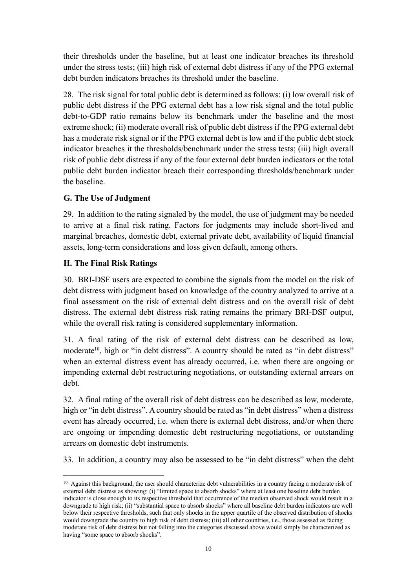their thresholds under the baseline, but at least one indicator breaches its threshold under the stress tests; (iii) high risk of external debt distress if any of the PPG external debt burden indicators breaches its threshold under the baseline.

28. The risk signal for total public debt is determined as follows: (i) low overall risk of public debt distress if the PPG external debt has a low risk signal and the total public debt-to-GDP ratio remains below its benchmark under the baseline and the most extreme shock; (ii) moderate overall risk of public debt distress if the PPG external debt has a moderate risk signal or if the PPG external debt is low and if the public debt stock indicator breaches it the thresholds/benchmark under the stress tests; (iii) high overall risk of public debt distress if any of the four external debt burden indicators or the total public debt burden indicator breach their corresponding thresholds/benchmark under the baseline.

## **G. The Use of Judgment**

29. In addition to the rating signaled by the model, the use of judgment may be needed to arrive at a final risk rating. Factors for judgments may include short-lived and marginal breaches, domestic debt, external private debt, availability of liquid financial assets, long-term considerations and loss given default, among others.

## **H. The Final Risk Ratings**

 $\overline{a}$ 

30. BRI-DSF users are expected to combine the signals from the model on the risk of debt distress with judgment based on knowledge of the country analyzed to arrive at a final assessment on the risk of external debt distress and on the overall risk of debt distress. The external debt distress risk rating remains the primary BRI-DSF output, while the overall risk rating is considered supplementary information.

31. A final rating of the risk of external debt distress can be described as low, moderate<sup>10</sup>, high or "in debt distress". A country should be rated as "in debt distress" when an external distress event has already occurred, i.e. when there are ongoing or impending external debt restructuring negotiations, or outstanding external arrears on debt.

32. A final rating of the overall risk of debt distress can be described as low, moderate, high or "in debt distress". A country should be rated as "in debt distress" when a distress event has already occurred, i.e. when there is external debt distress, and/or when there are ongoing or impending domestic debt restructuring negotiations, or outstanding arrears on domestic debt instruments.

33. In addition, a country may also be assessed to be "in debt distress" when the debt

<sup>&</sup>lt;sup>10</sup> Against this background, the user should characterize debt vulnerabilities in a country facing a moderate risk of external debt distress as showing: (i) "limited space to absorb shocks" where at least one baseline debt burden indicator is close enough to its respective threshold that occurrence of the median observed shock would result in a downgrade to high risk; (ii) "substantial space to absorb shocks" where all baseline debt burden indicators are well below their respective thresholds, such that only shocks in the upper quartile of the observed distribution of shocks would downgrade the country to high risk of debt distress; (iii) all other countries, i.e., those assessed as facing moderate risk of debt distress but not falling into the categories discussed above would simply be characterized as having "some space to absorb shocks".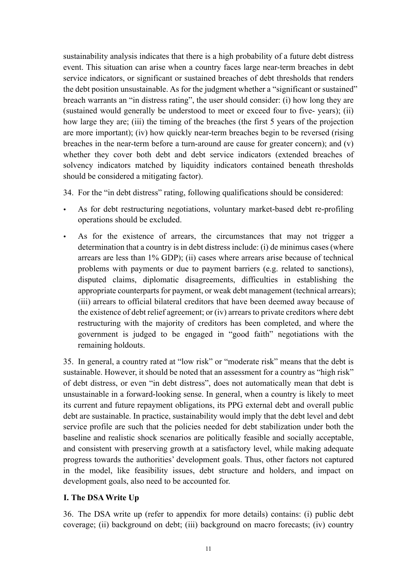sustainability analysis indicates that there is a high probability of a future debt distress event. This situation can arise when a country faces large near-term breaches in debt service indicators, or significant or sustained breaches of debt thresholds that renders the debt position unsustainable. As for the judgment whether a "significant or sustained" breach warrants an "in distress rating", the user should consider: (i) how long they are (sustained would generally be understood to meet or exceed four to five- years); (ii) how large they are; (iii) the timing of the breaches (the first 5 years of the projection are more important); (iv) how quickly near-term breaches begin to be reversed (rising breaches in the near-term before a turn-around are cause for greater concern); and (v) whether they cover both debt and debt service indicators (extended breaches of solvency indicators matched by liquidity indicators contained beneath thresholds should be considered a mitigating factor).

34. For the "in debt distress" rating, following qualifications should be considered:

- As for debt restructuring negotiations, voluntary market-based debt re-profiling operations should be excluded.
- As for the existence of arrears, the circumstances that may not trigger a determination that a country is in debt distress include: (i) de minimus cases (where arrears are less than 1% GDP); (ii) cases where arrears arise because of technical problems with payments or due to payment barriers (e.g. related to sanctions), disputed claims, diplomatic disagreements, difficulties in establishing the appropriate counterparts for payment, or weak debt management (technical arrears); (iii) arrears to official bilateral creditors that have been deemed away because of the existence of debt relief agreement; or (iv) arrears to private creditors where debt restructuring with the majority of creditors has been completed, and where the government is judged to be engaged in "good faith" negotiations with the remaining holdouts.

35. In general, a country rated at "low risk" or "moderate risk" means that the debt is sustainable. However, it should be noted that an assessment for a country as "high risk" of debt distress, or even "in debt distress", does not automatically mean that debt is unsustainable in a forward-looking sense. In general, when a country is likely to meet its current and future repayment obligations, its PPG external debt and overall public debt are sustainable. In practice, sustainability would imply that the debt level and debt service profile are such that the policies needed for debt stabilization under both the baseline and realistic shock scenarios are politically feasible and socially acceptable, and consistent with preserving growth at a satisfactory level, while making adequate progress towards the authorities' development goals. Thus, other factors not captured in the model, like feasibility issues, debt structure and holders, and impact on development goals, also need to be accounted for.

#### **I. The DSA Write Up**

36. The DSA write up (refer to appendix for more details) contains: (i) public debt coverage; (ii) background on debt; (iii) background on macro forecasts; (iv) country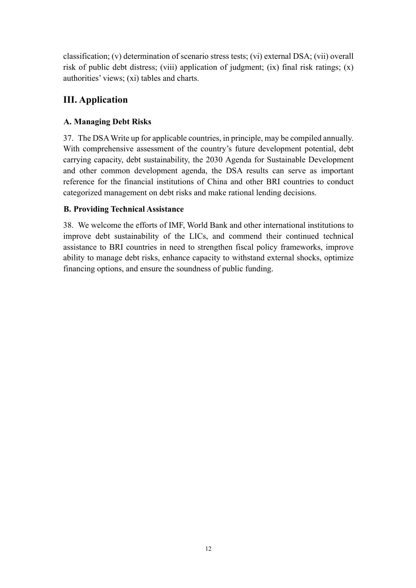classification; (v) determination of scenario stress tests; (vi) external DSA; (vii) overall risk of public debt distress; (viii) application of judgment; (ix) final risk ratings; (x) authorities' views; (xi) tables and charts.

# **III. Application**

## **A. Managing Debt Risks**

37. The DSA Write up for applicable countries, in principle, may be compiled annually. With comprehensive assessment of the country's future development potential, debt carrying capacity, debt sustainability, the 2030 Agenda for Sustainable Development and other common development agenda, the DSA results can serve as important reference for the financial institutions of China and other BRI countries to conduct categorized management on debt risks and make rational lending decisions.

## **B. Providing Technical Assistance**

38. We welcome the efforts of IMF, World Bank and other international institutions to improve debt sustainability of the LICs, and commend their continued technical assistance to BRI countries in need to strengthen fiscal policy frameworks, improve ability to manage debt risks, enhance capacity to withstand external shocks, optimize financing options, and ensure the soundness of public funding.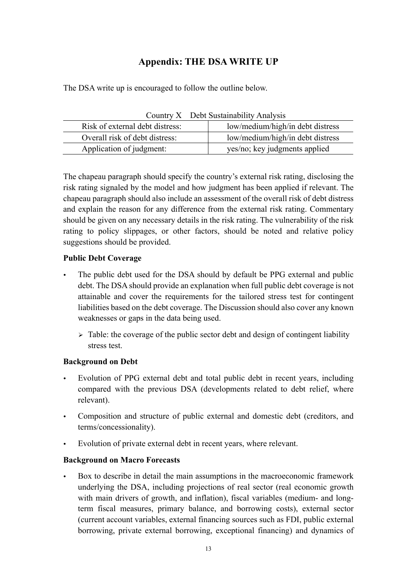## **Appendix: THE DSA WRITE UP**

The DSA write up is encouraged to follow the outline below.

| Country $\Lambda$ Debt Sustainability Analysis |                                  |
|------------------------------------------------|----------------------------------|
| Risk of external debt distress:                | low/medium/high/in debt distress |
| Overall risk of debt distress:                 | low/medium/high/in debt distress |
| Application of judgment:                       | yes/no; key judgments applied    |
|                                                |                                  |

Country X Debt Sustainability Analysis

The chapeau paragraph should specify the country's external risk rating, disclosing the risk rating signaled by the model and how judgment has been applied if relevant. The chapeau paragraph should also include an assessment of the overall risk of debt distress and explain the reason for any difference from the external risk rating. Commentary should be given on any necessary details in the risk rating. The vulnerability of the risk rating to policy slippages, or other factors, should be noted and relative policy suggestions should be provided.

## **Public Debt Coverage**

- The public debt used for the DSA should by default be PPG external and public debt. The DSA should provide an explanation when full public debt coverage is not attainable and cover the requirements for the tailored stress test for contingent liabilities based on the debt coverage. The Discussion should also cover any known weaknesses or gaps in the data being used.
	- $\triangleright$  Table: the coverage of the public sector debt and design of contingent liability stress test.

## **Background on Debt**

- Evolution of PPG external debt and total public debt in recent years, including compared with the previous DSA (developments related to debt relief, where relevant).
- Composition and structure of public external and domestic debt (creditors, and terms/concessionality).
- Evolution of private external debt in recent years, where relevant.

## **Background on Macro Forecasts**

 Box to describe in detail the main assumptions in the macroeconomic framework underlying the DSA, including projections of real sector (real economic growth with main drivers of growth, and inflation), fiscal variables (medium- and longterm fiscal measures, primary balance, and borrowing costs), external sector (current account variables, external financing sources such as FDI, public external borrowing, private external borrowing, exceptional financing) and dynamics of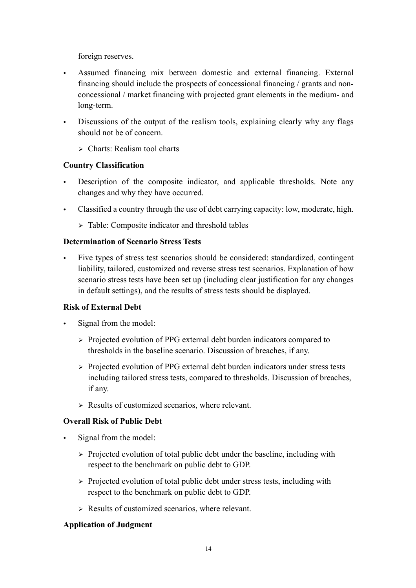foreign reserves.

- Assumed financing mix between domestic and external financing. External financing should include the prospects of concessional financing / grants and nonconcessional / market financing with projected grant elements in the medium- and long-term.
- Discussions of the output of the realism tools, explaining clearly why any flags should not be of concern.
	- $\triangleright$  Charts: Realism tool charts

## **Country Classification**

- Description of the composite indicator, and applicable thresholds. Note any changes and why they have occurred.
- Classified a country through the use of debt carrying capacity: low, moderate, high.
	- $\triangleright$  Table: Composite indicator and threshold tables

## **Determination of Scenario Stress Tests**

 Five types of stress test scenarios should be considered: standardized, contingent liability, tailored, customized and reverse stress test scenarios. Explanation of how scenario stress tests have been set up (including clear justification for any changes in default settings), and the results of stress tests should be displayed.

## **Risk of External Debt**

- Signal from the model:
	- $\triangleright$  Projected evolution of PPG external debt burden indicators compared to thresholds in the baseline scenario. Discussion of breaches, if any.
	- Ø Projected evolution of PPG external debt burden indicators under stress tests including tailored stress tests, compared to thresholds. Discussion of breaches, if any.
	- $\triangleright$  Results of customized scenarios, where relevant.

## **Overall Risk of Public Debt**

- Signal from the model:
	- $\triangleright$  Projected evolution of total public debt under the baseline, including with respect to the benchmark on public debt to GDP.
	- $\triangleright$  Projected evolution of total public debt under stress tests, including with respect to the benchmark on public debt to GDP.
	- $\triangleright$  Results of customized scenarios, where relevant.

## **Application of Judgment**